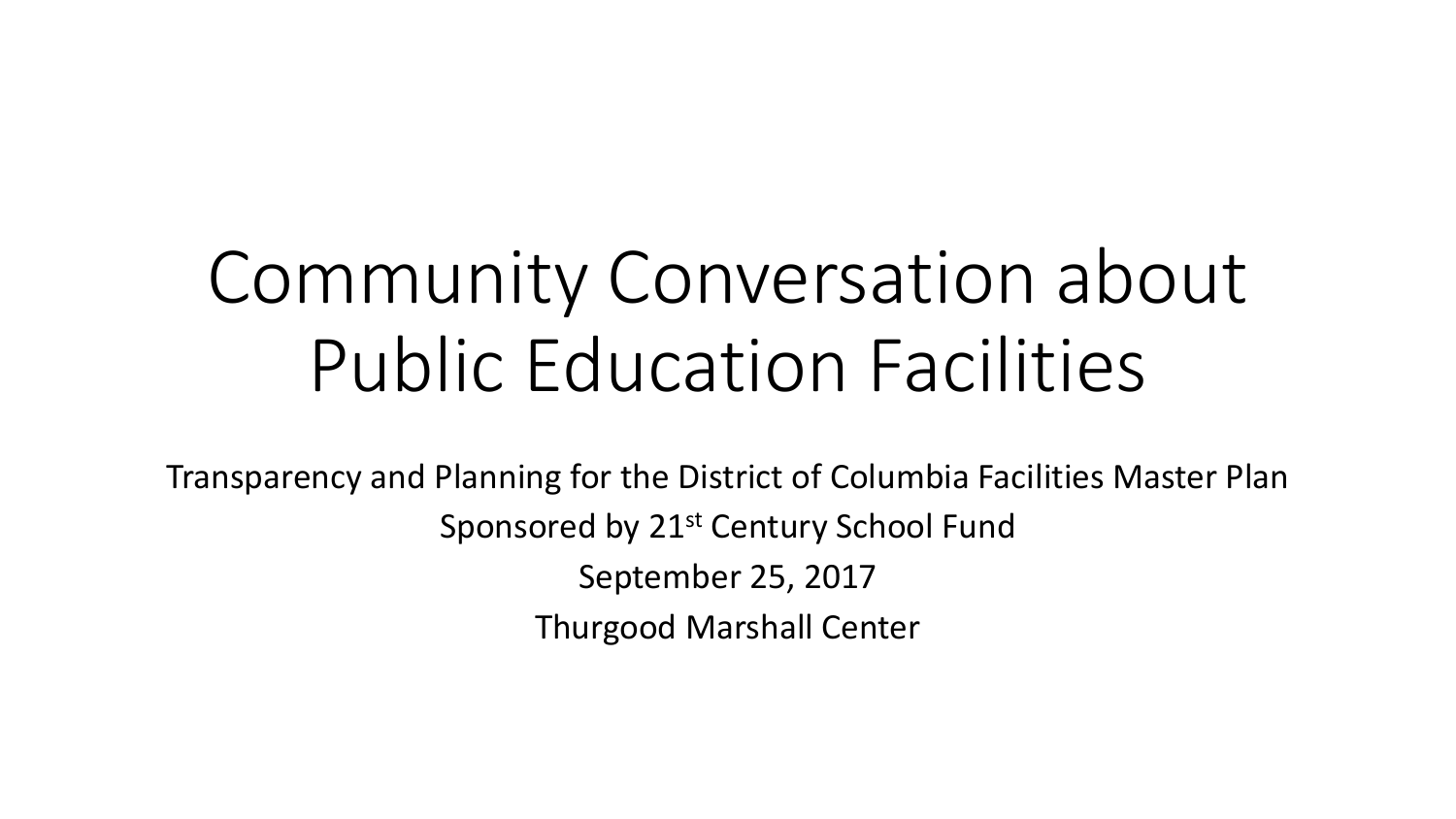# Community Conversation about Public Education Facilities

Transparency and Planning for the District of Columbia Facilities Master Plan Sponsored by 21<sup>st</sup> Century School Fund September 25, 2017 Thurgood Marshall Center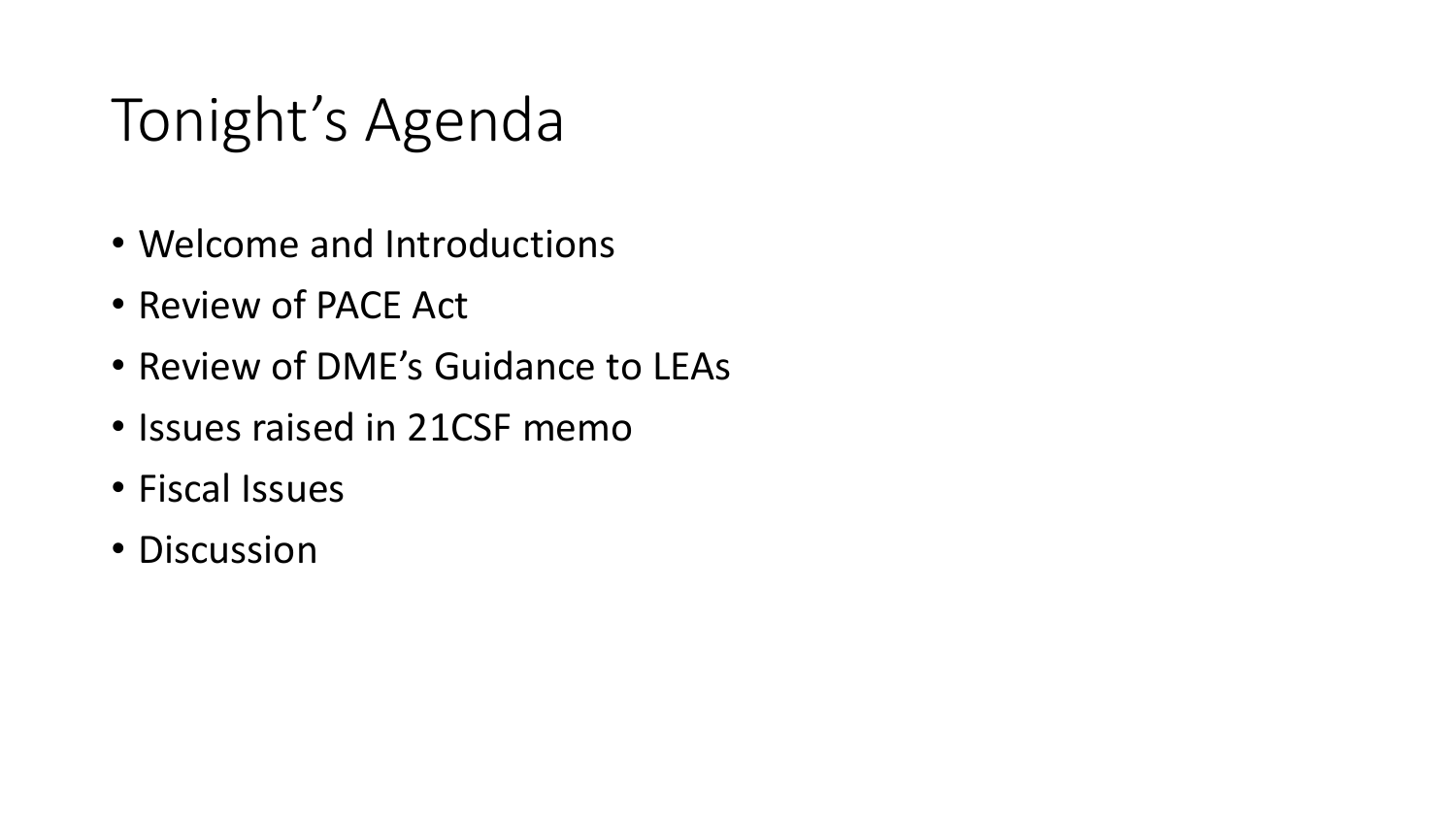# Tonight's Agenda

- Welcome and Introductions
- Review of PACE Act
- Review of DME's Guidance to LEAs
- Issues raised in 21CSF memo
- Fiscal Issues
- Discussion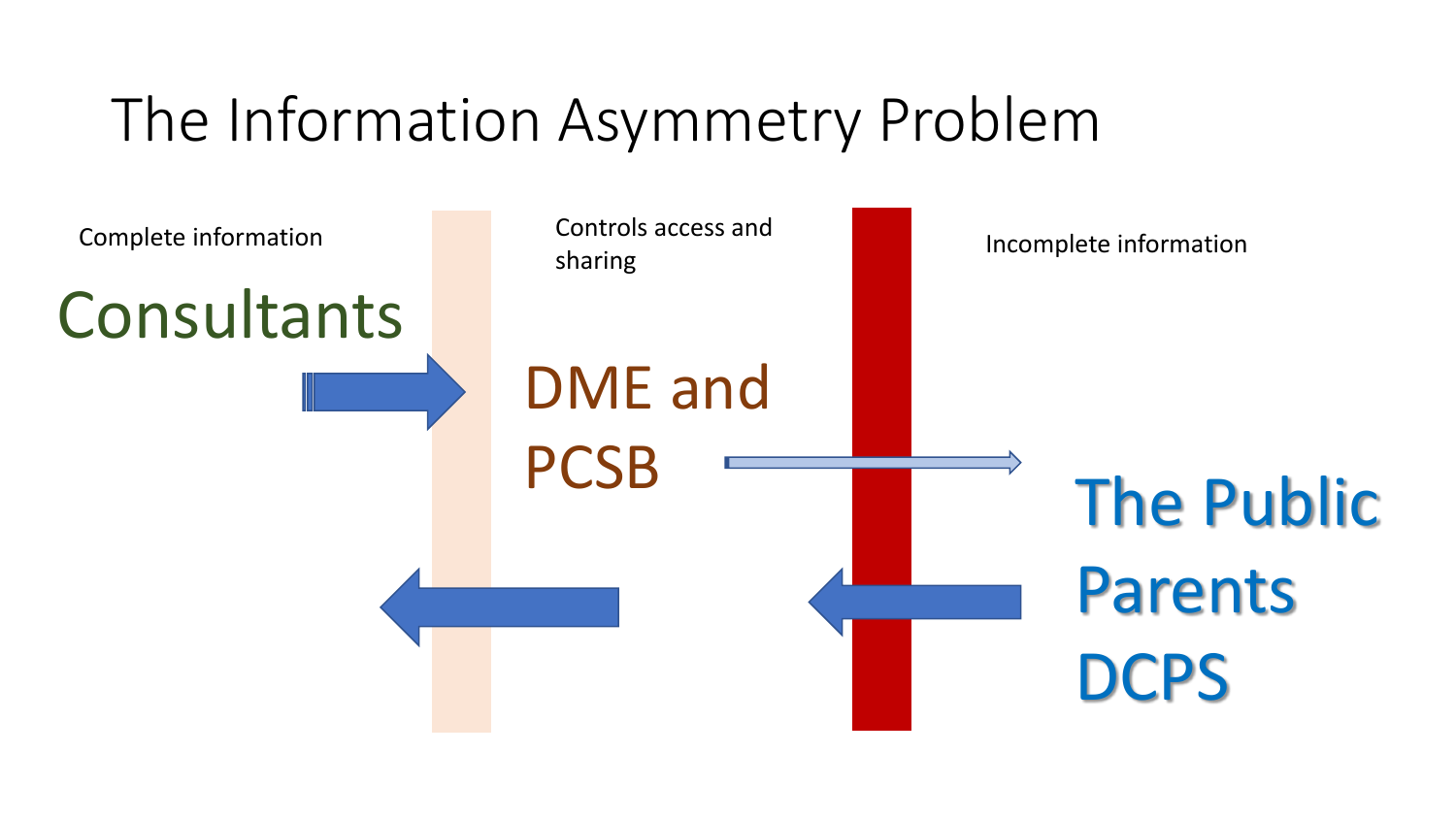### The Information Asymmetry Problem

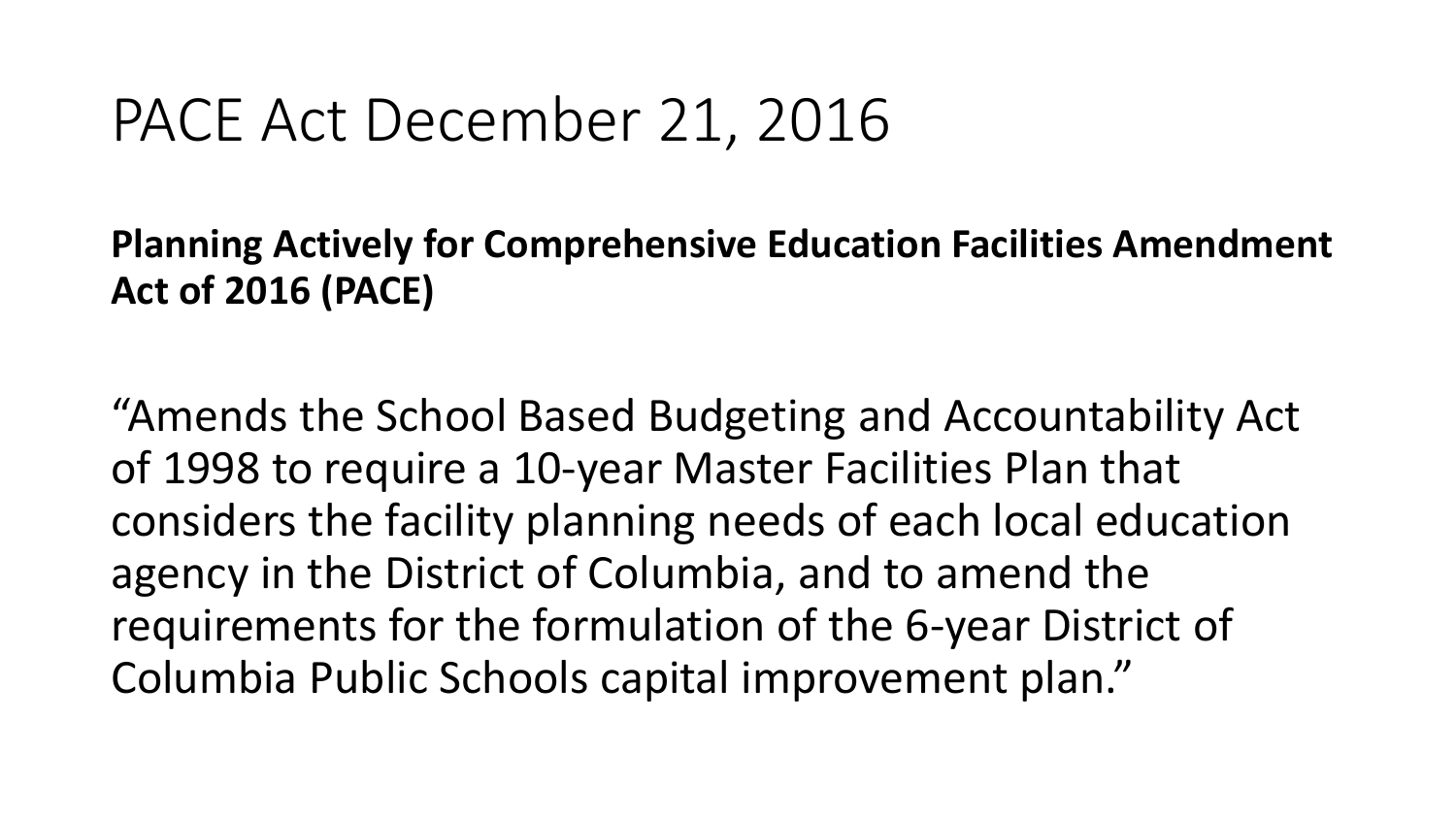#### PACE Act December 21, 2016

**Planning Actively for Comprehensive Education Facilities Amendment Act of 2016 (PACE)**

"Amends the School Based Budgeting and Accountability Act of 1998 to require a 10-year Master Facilities Plan that considers the facility planning needs of each local education agency in the District of Columbia, and to amend the requirements for the formulation of the 6-year District of Columbia Public Schools capital improvement plan."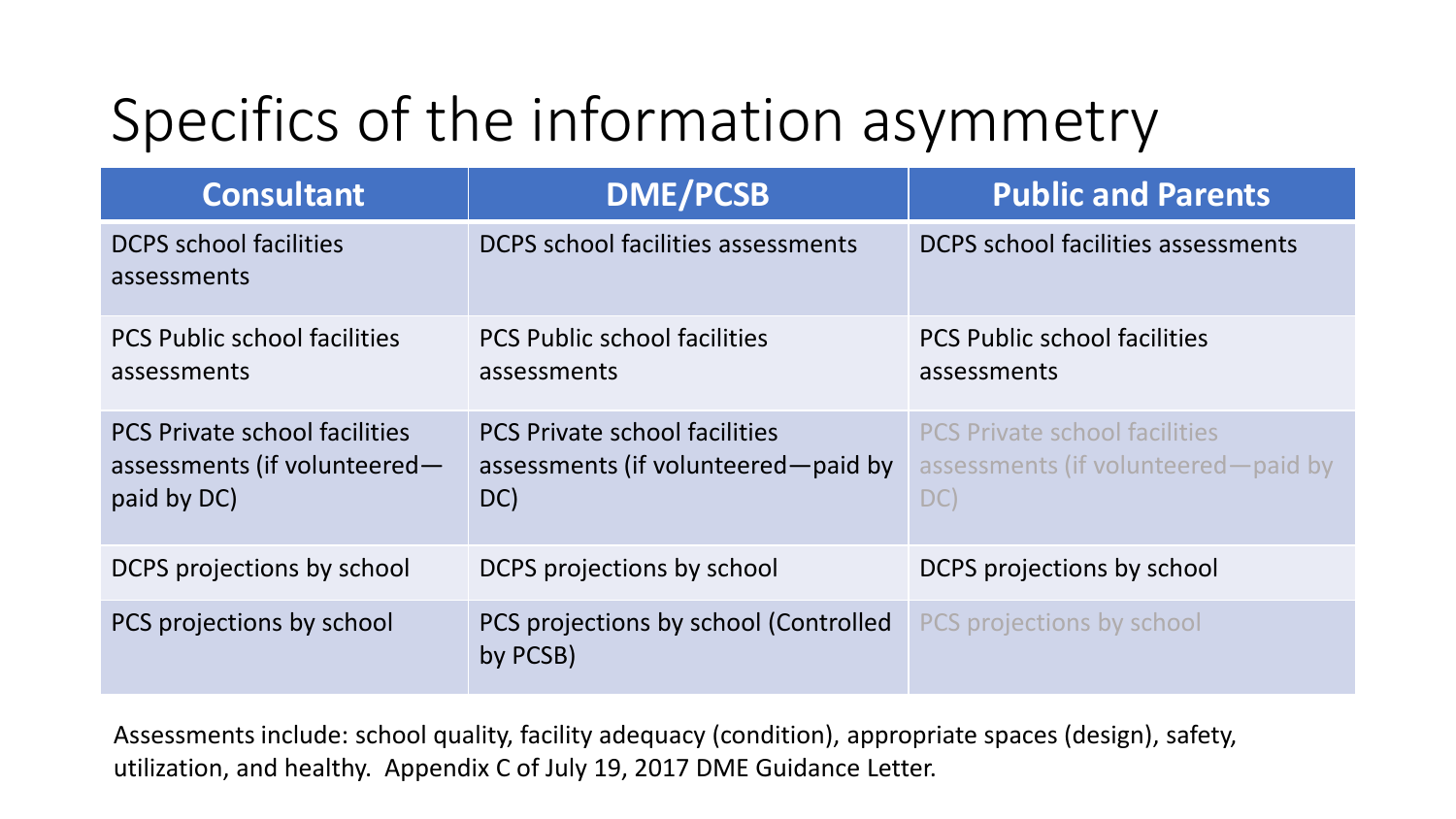# Specifics of the information asymmetry

| <b>Consultant</b>                                                                   | <b>DME/PCSB</b>                                                                    | <b>Public and Parents</b>                                                          |
|-------------------------------------------------------------------------------------|------------------------------------------------------------------------------------|------------------------------------------------------------------------------------|
| <b>DCPS</b> school facilities<br>assessments                                        | DCPS school facilities assessments                                                 | DCPS school facilities assessments                                                 |
| <b>PCS Public school facilities</b><br>assessments                                  | <b>PCS Public school facilities</b><br>assessments                                 | <b>PCS Public school facilities</b><br>assessments                                 |
| <b>PCS Private school facilities</b><br>assessments (if volunteered-<br>paid by DC) | <b>PCS Private school facilities</b><br>assessments (if volunteered—paid by<br>DC) | <b>PCS Private school facilities</b><br>assessments (if volunteered-paid by<br>DC) |
| DCPS projections by school                                                          | DCPS projections by school                                                         | DCPS projections by school                                                         |
| PCS projections by school                                                           | PCS projections by school (Controlled<br>by PCSB)                                  | PCS projections by school                                                          |

Assessments include: school quality, facility adequacy (condition), appropriate spaces (design), safety, utilization, and healthy. Appendix C of July 19, 2017 DME Guidance Letter.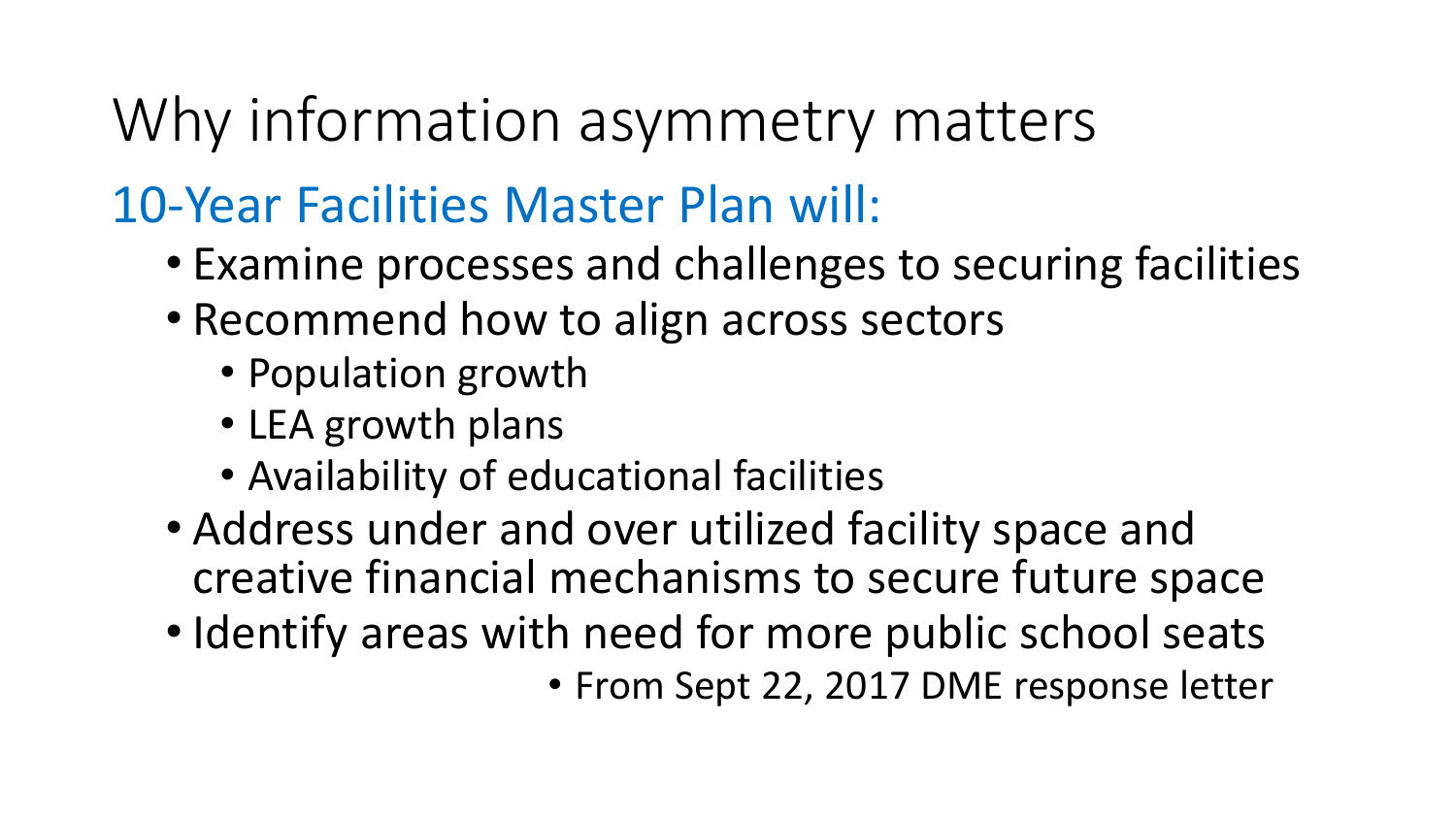## Why information asymmetry matters

#### 10-Year Facilities Master Plan will:

- Examine processes and challenges to securing facilities
- Recommend how to align across sectors
	- Population growth
	- LEA growth plans
	- Availability of educational facilities
- Address under and over utilized facility space and creative financial mechanisms to secure future space
- Identify areas with need for more public school seats • From Sept 22, 2017 DME response letter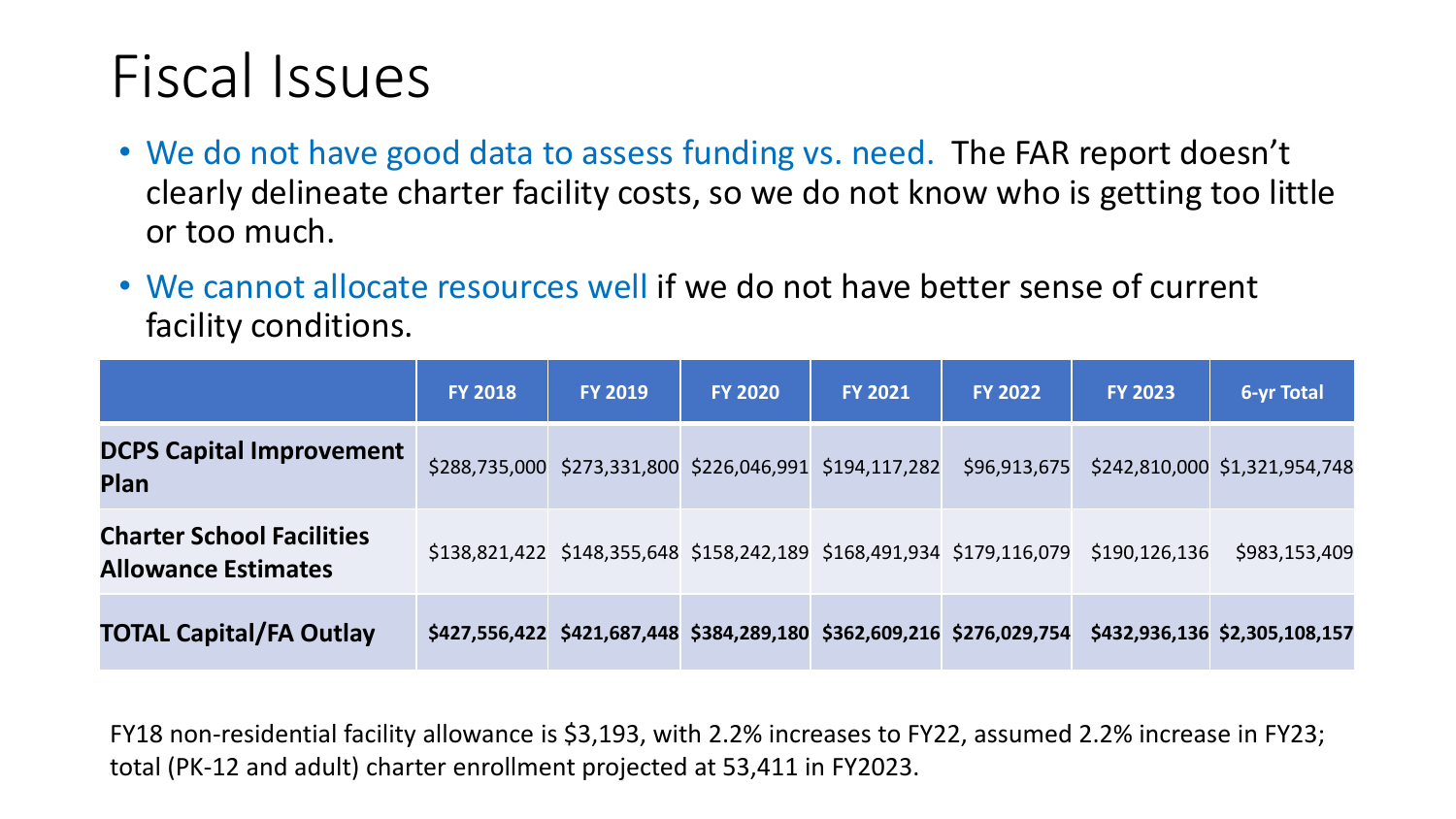### Fiscal Issues

- We do not have good data to assess funding vs. need. The FAR report doesn't clearly delineate charter facility costs, so we do not know who is getting too little or too much.
- We cannot allocate resources well if we do not have better sense of current facility conditions.

|                                                                | <b>FY 2018</b> | <b>FY 2019</b>                                                        | <b>FY 2020</b> | <b>FY 2021</b> | <b>FY 2022</b> | <b>FY 2023</b>  | <b>6-yr Total</b>             |
|----------------------------------------------------------------|----------------|-----------------------------------------------------------------------|----------------|----------------|----------------|-----------------|-------------------------------|
| <b>DCPS Capital Improvement</b><br><b>Plan</b>                 |                | \$288,735,000 \$273,331,800 \$226,046,991 \$194,117,282               |                |                | \$96,913,675   |                 | \$242,810,000 \$1,321,954,748 |
| <b>Charter School Facilities</b><br><b>Allowance Estimates</b> |                | \$138,821,422 \$148,355,648 \$158,242,189 \$168,491,934 \$179,116,079 |                |                |                | \$190, 126, 136 | \$983,153,409                 |
| <b>TOTAL Capital/FA Outlay</b>                                 |                | \$427,556,422 \$421,687,448 \$384,289,180 \$362,609,216 \$276,029,754 |                |                |                |                 | \$432,936,136 \$2,305,108,157 |

FY18 non-residential facility allowance is \$3,193, with 2.2% increases to FY22, assumed 2.2% increase in FY23; total (PK-12 and adult) charter enrollment projected at 53,411 in FY2023.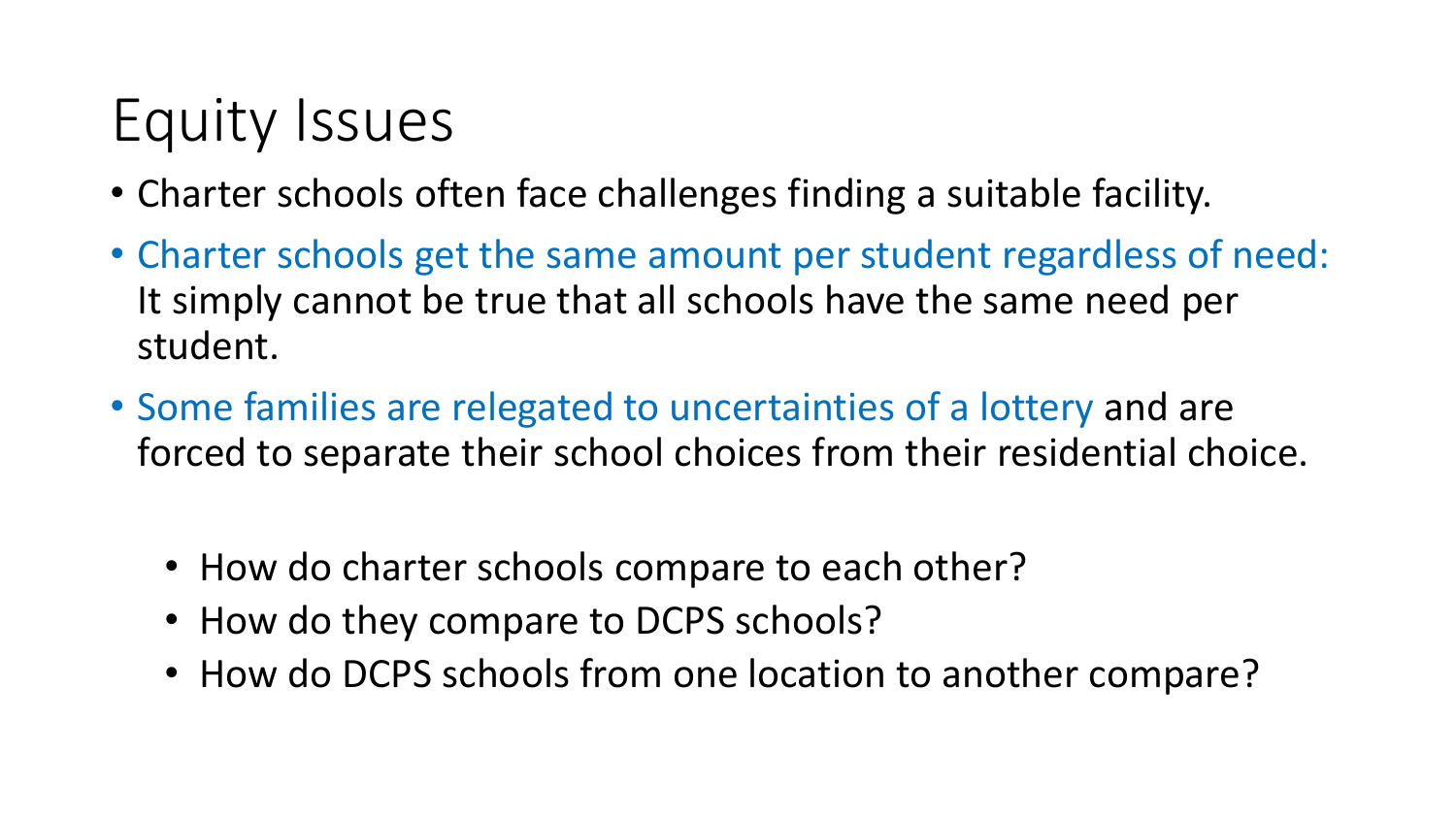# Equity Issues

- Charter schools often face challenges finding a suitable facility.
- Charter schools get the same amount per student regardless of need: It simply cannot be true that all schools have the same need per student.
- Some families are relegated to uncertainties of a lottery and are forced to separate their school choices from their residential choice.
	- How do charter schools compare to each other?
	- How do they compare to DCPS schools?
	- How do DCPS schools from one location to another compare?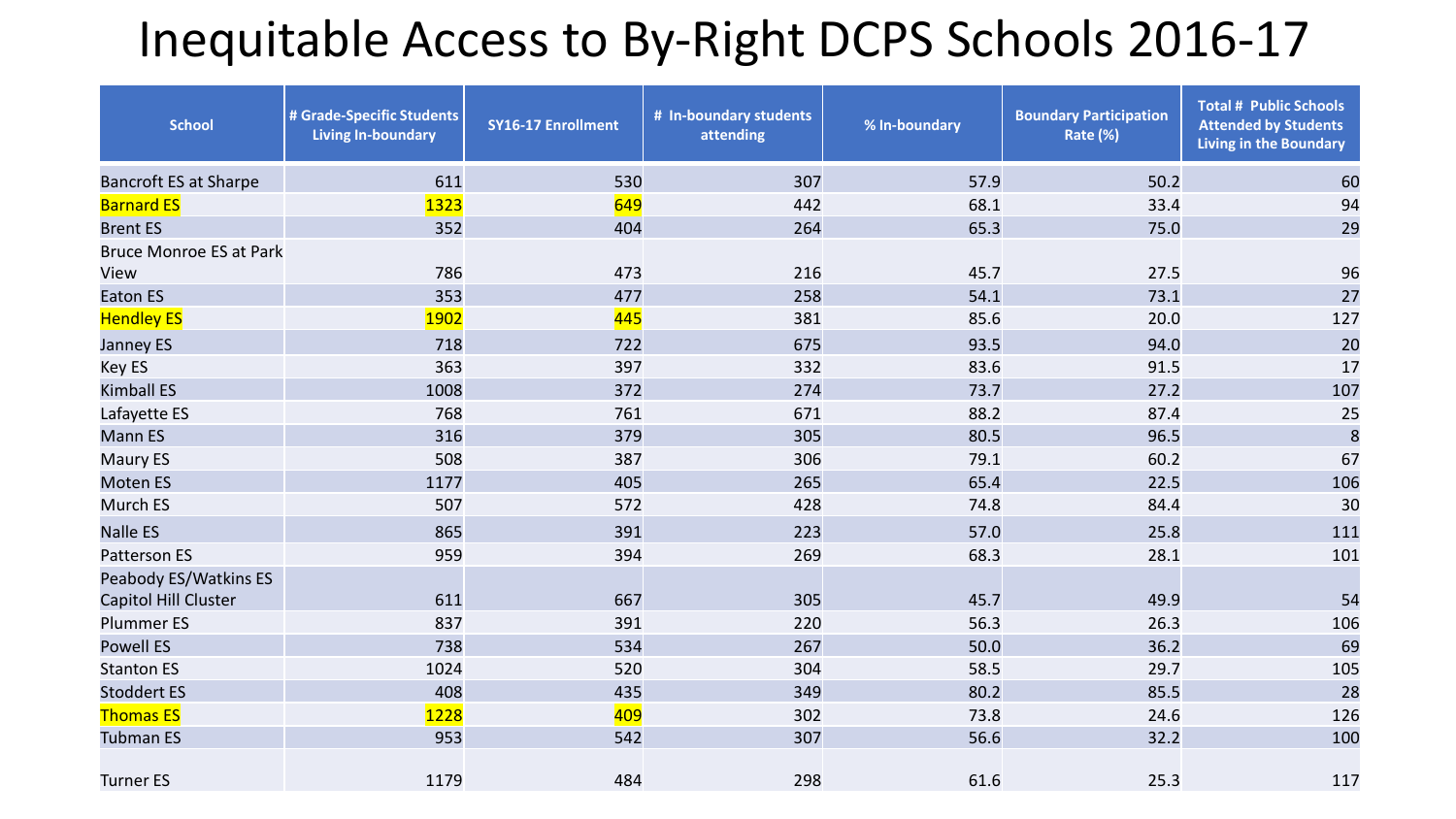#### Inequitable Access to By-Right DCPS Schools 2016-17

| <b>School</b>                                 | # Grade-Specific Students<br><b>Living In-boundary</b> | <b>SY16-17 Enrollment</b> | # In-boundary students<br>attending | % In-boundary | <b>Boundary Participation</b><br>Rate (%) | <b>Total # Public Schools</b><br><b>Attended by Students</b><br><b>Living in the Boundary</b> |  |
|-----------------------------------------------|--------------------------------------------------------|---------------------------|-------------------------------------|---------------|-------------------------------------------|-----------------------------------------------------------------------------------------------|--|
| <b>Bancroft ES at Sharpe</b>                  | 611                                                    | 530                       | 307                                 | 57.9          | 50.2                                      | 60                                                                                            |  |
| <b>Barnard ES</b>                             | 1323                                                   | 649                       | 442                                 | 68.1          | 33.4                                      | 94                                                                                            |  |
| <b>Brent ES</b>                               | 352                                                    | 404                       | 264                                 | 65.3          | 75.0                                      | 29                                                                                            |  |
| <b>Bruce Monroe ES at Park</b>                |                                                        |                           |                                     |               |                                           |                                                                                               |  |
| View                                          | 786                                                    | 473                       | 216                                 | 45.7          | 27.5                                      | 96                                                                                            |  |
| <b>Eaton ES</b>                               | 353                                                    | 477                       | 258                                 | 54.1          | 73.1                                      | 27                                                                                            |  |
| <b>Hendley ES</b>                             | 1902                                                   | 445                       | 381                                 | 85.6          | 20.0                                      | 127                                                                                           |  |
| Janney ES                                     | 718                                                    | 722                       | 675                                 | 93.5          | 94.0                                      | 20                                                                                            |  |
| Key ES                                        | 363                                                    | 397                       | 332                                 | 83.6          | 91.5                                      | 17                                                                                            |  |
| <b>Kimball ES</b>                             | 1008                                                   | 372                       | 274                                 | 73.7          | 27.2                                      | 107                                                                                           |  |
| Lafayette ES                                  | 768                                                    | 761                       | 671                                 | 88.2          | 87.4                                      | 25                                                                                            |  |
| <b>Mann ES</b>                                | 316                                                    | 379                       | 305                                 | 80.5          | 96.5                                      | $\delta$                                                                                      |  |
| Maury ES                                      | 508                                                    | 387                       | 306                                 | 79.1          | 60.2                                      | 67                                                                                            |  |
| <b>Moten ES</b>                               | 1177                                                   | 405                       | 265                                 | 65.4          | 22.5                                      | 106                                                                                           |  |
| Murch ES                                      | 507                                                    | 572                       | 428                                 | 74.8          | 84.4                                      | 30                                                                                            |  |
| <b>Nalle ES</b>                               | 865                                                    | 391                       | 223                                 | 57.0          | 25.8                                      | 111                                                                                           |  |
| <b>Patterson ES</b>                           | 959                                                    | 394                       | 269                                 | 68.3          | 28.1                                      | 101                                                                                           |  |
| Peabody ES/Watkins ES<br>Capitol Hill Cluster | 611                                                    | 667                       | 305                                 | 45.7          | 49.9                                      | 54                                                                                            |  |
| <b>Plummer ES</b>                             | 837                                                    | 391                       | 220                                 | 56.3          | 26.3                                      | 106                                                                                           |  |
| <b>Powell ES</b>                              | 738                                                    | 534                       | 267                                 | 50.0          | 36.2                                      | 69                                                                                            |  |
| <b>Stanton ES</b>                             | 1024                                                   | 520                       | 304                                 | 58.5          | 29.7                                      | 105                                                                                           |  |
| <b>Stoddert ES</b>                            | 408                                                    | 435                       | 349                                 | 80.2          | 85.5                                      | 28                                                                                            |  |
| <b>Thomas ES</b>                              | 1228                                                   | 409                       | 302                                 | 73.8          | 24.6                                      | 126                                                                                           |  |
| <b>Tubman ES</b>                              | 953                                                    | 542                       | 307                                 | 56.6          | 32.2                                      | 100                                                                                           |  |
| <b>Turner ES</b>                              | 1179                                                   | 484                       | 298                                 | 61.6          | 25.3                                      | 117                                                                                           |  |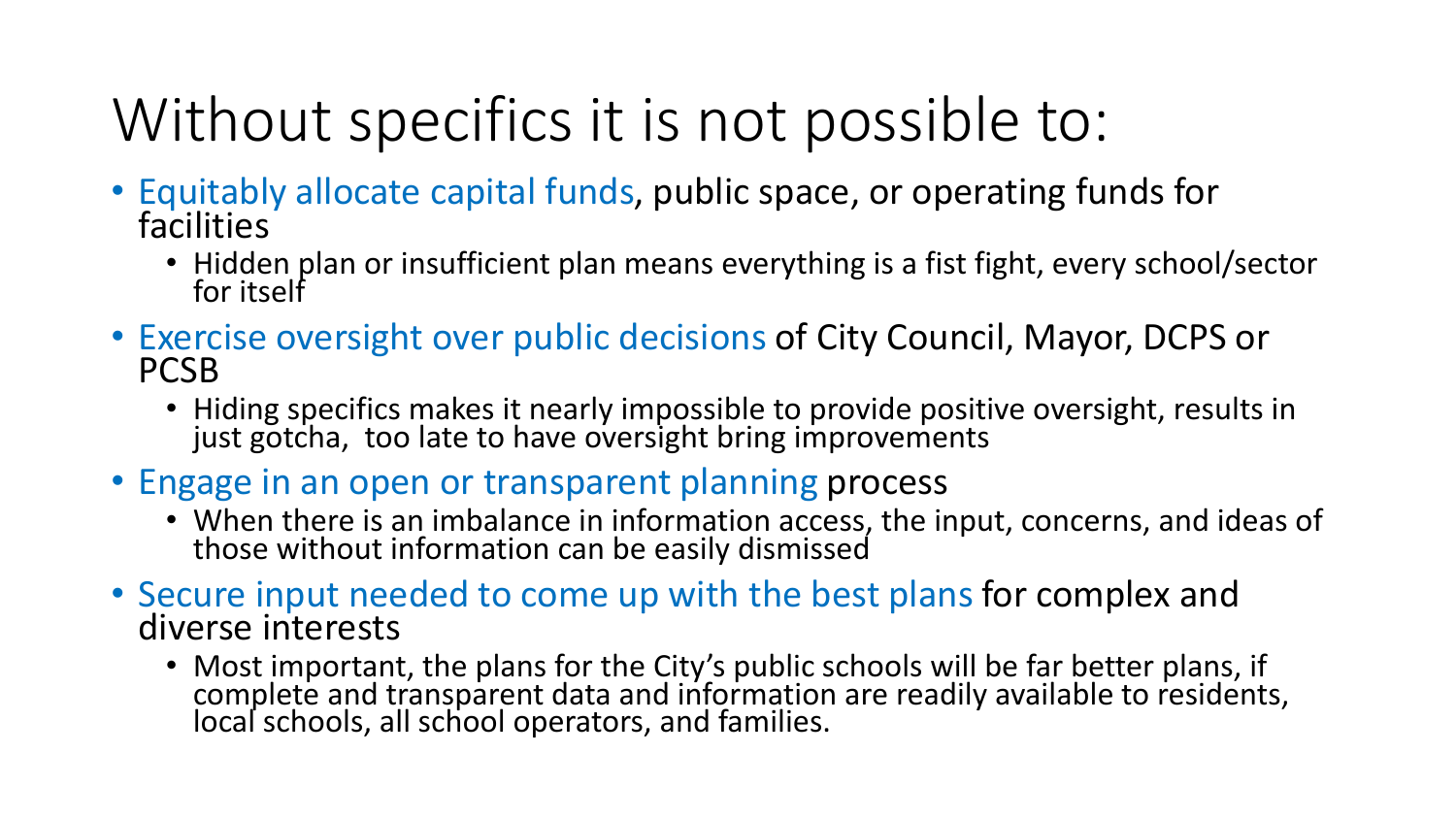# Without specifics it is not possible to:

- Equitably allocate capital funds, public space, or operating funds for facilities
	- Hidden plan or insufficient plan means everything is a fist fight, every school/sector for itself
- Exercise oversight over public decisions of City Council, Mayor, DCPS or PCSB
	- Hiding specifics makes it nearly impossible to provide positive oversight, results in just gotcha, too late to have oversight bring improvements
- Engage in an open or transparent planning process
	- When there is an imbalance in information access, the input, concerns, and ideas of those without information can be easily dismissed
- Secure input needed to come up with the best plans for complex and diverse interests
	- Most important, the plans for the City's public schools will be far better plans, if complete and transparent data and information are readily available to residents, local schools, all school operators, and families.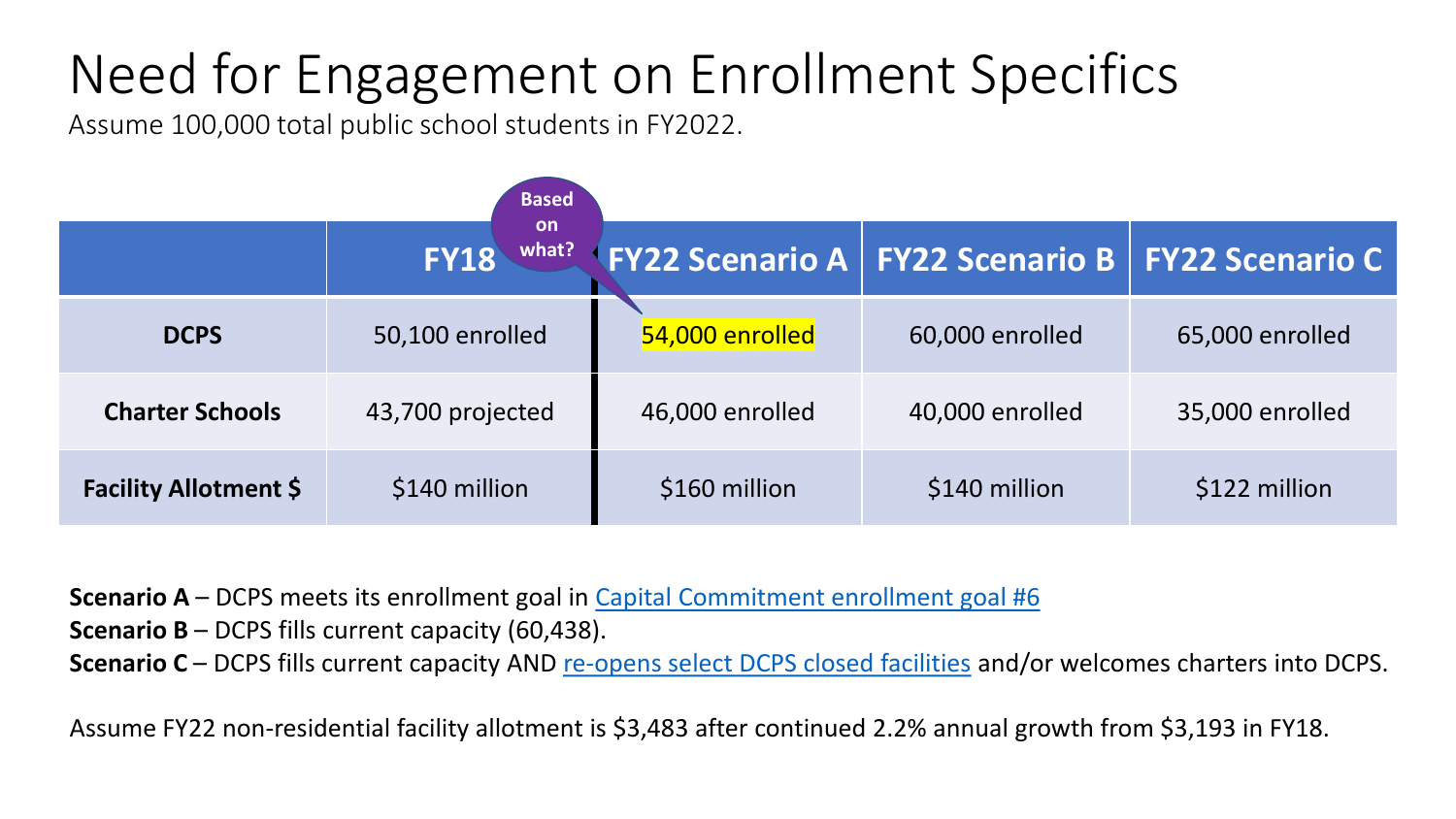### Need for Engagement on Enrollment Specifics

Assume 100,000 total public school students in FY2022.

|                              | <b>Based</b>                      |                 |                                                              |                 |  |
|------------------------------|-----------------------------------|-----------------|--------------------------------------------------------------|-----------------|--|
|                              | <b>on</b><br>what?<br><b>FY18</b> |                 | <b>FY22 Scenario A   FY22 Scenario B   FY22 Scenario C  </b> |                 |  |
| <b>DCPS</b>                  | 50,100 enrolled                   | 54,000 enrolled | 60,000 enrolled                                              | 65,000 enrolled |  |
| <b>Charter Schools</b>       | 43,700 projected                  | 46,000 enrolled | 40,000 enrolled                                              | 35,000 enrolled |  |
| <b>Facility Allotment \$</b> | \$140 million                     | \$160 million   | \$140 million                                                | \$122 million   |  |

**Scenario A** – DCPS meets its enrollment goal in [Capital Commitment enrollment goal #6](https://dcps.dc.gov/capitalcommitment)

**Scenario B** – DCPS fills current capacity (60,438).

Scenario C – DCPS fills current capacity AND [re-opens select DCPS closed facilities](https://dme.dc.gov/sites/default/files/dc/sites/dme/publication/attachments/Formerly Closed DCPS Facility Landscape_as of SY1617_FINAL_Updated July2017_0.pdf) and/or welcomes charters into DCPS.

Assume FY22 non-residential facility allotment is \$3,483 after continued 2.2% annual growth from \$3,193 in FY18.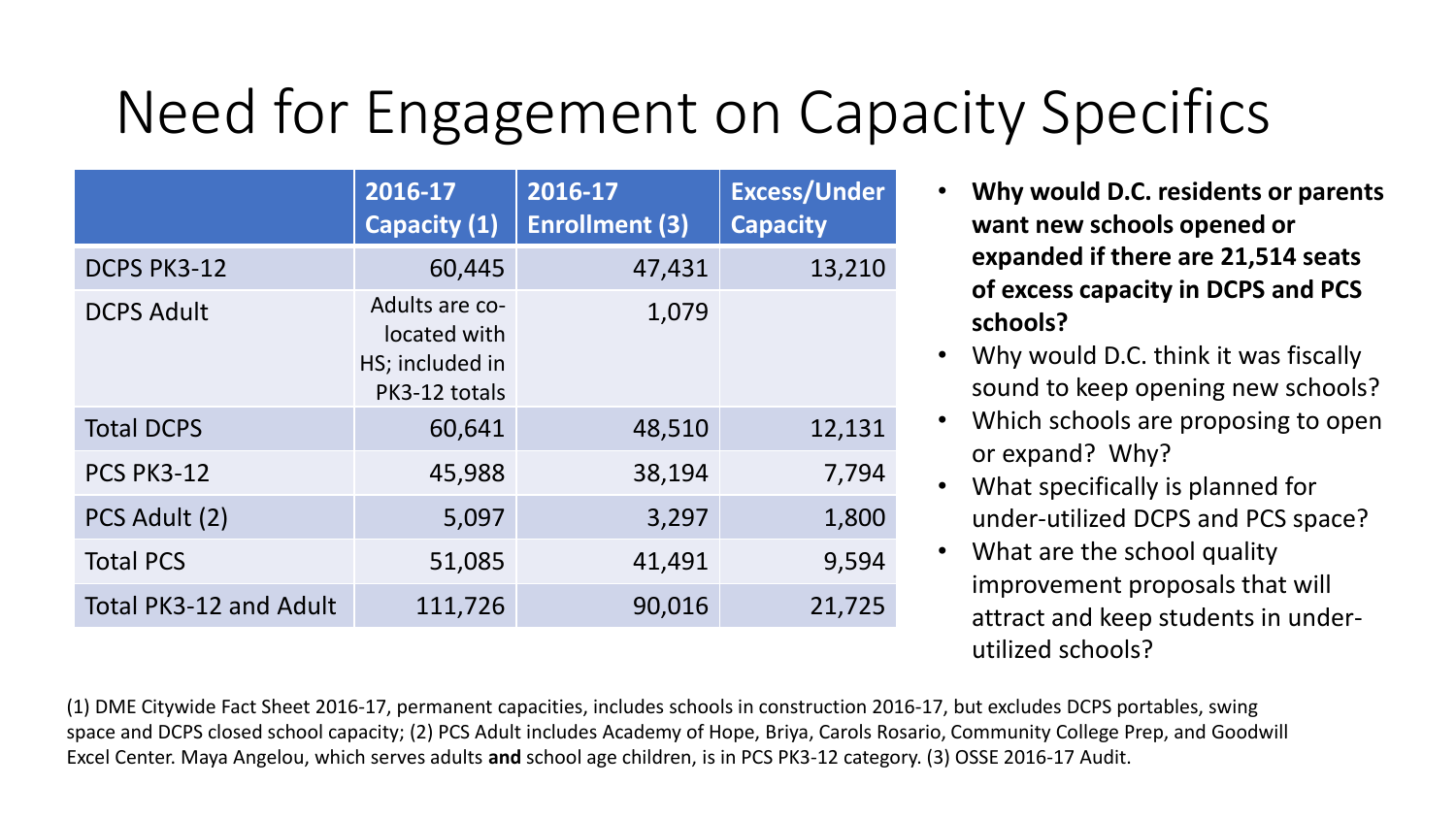# Need for Engagement on Capacity Specifics

|                               | 2016-17<br>Capacity (1)                                            | 2016-17<br><b>Enrollment (3)</b> | <b>Excess/Under</b><br><b>Capacity</b> |
|-------------------------------|--------------------------------------------------------------------|----------------------------------|----------------------------------------|
| <b>DCPS PK3-12</b>            | 60,445                                                             | 47,431                           | 13,210                                 |
| <b>DCPS Adult</b>             | Adults are co-<br>located with<br>HS; included in<br>PK3-12 totals | 1,079                            |                                        |
| <b>Total DCPS</b>             | 60,641                                                             | 48,510                           | 12,131                                 |
| <b>PCS PK3-12</b>             | 45,988                                                             | 38,194                           | 7,794                                  |
| PCS Adult (2)                 | 5,097                                                              | 3,297                            | 1,800                                  |
| <b>Total PCS</b>              | 51,085                                                             | 41,491                           | 9,594                                  |
| <b>Total PK3-12 and Adult</b> | 111,726                                                            | 90,016                           | 21,725                                 |

- **Why would D.C. residents or parents want new schools opened or expanded if there are 21,514 seats of excess capacity in DCPS and PCS schools?**
- Why would D.C. think it was fiscally sound to keep opening new schools?
- Which schools are proposing to open or expand? Why?
- What specifically is planned for under-utilized DCPS and PCS space?
- What are the school quality improvement proposals that will attract and keep students in underutilized schools?

(1) DME Citywide Fact Sheet 2016-17, permanent capacities, includes schools in construction 2016-17, but excludes DCPS portables, swing space and DCPS closed school capacity; (2) PCS Adult includes Academy of Hope, Briya, Carols Rosario, Community College Prep, and Goodwill Excel Center. Maya Angelou, which serves adults **and** school age children, is in PCS PK3-12 category. (3) OSSE 2016-17 Audit.